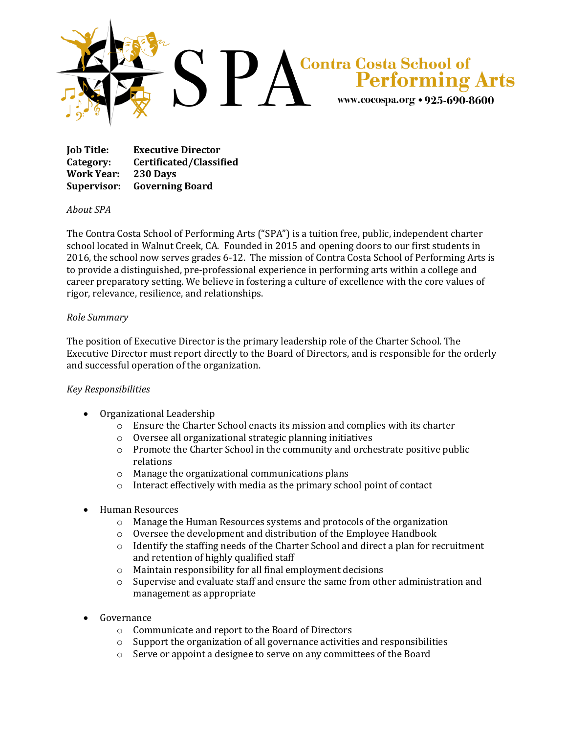

**Job Title: Executive Director Category: Certificated/Classified Work Year: 230 Days Supervisor: Governing Board**

## *About SPA*

The Contra Costa School of Performing Arts ("SPA") is a tuition free, public, independent charter school located in Walnut Creek, CA. Founded in 2015 and opening doors to our first students in 2016, the school now serves grades 6-12. The mission of Contra Costa School of Performing Arts is to provide a distinguished, pre-professional experience in performing arts within a college and career preparatory setting. We believe in fostering a culture of excellence with the core values of rigor, relevance, resilience, and relationships.

## *Role Summary*

The position of Executive Director is the primary leadership role of the Charter School. The Executive Director must report directly to the Board of Directors, and is responsible for the orderly and successful operation of the organization.

## *Key Responsibilities*

- Organizational Leadership
	- $\circ$  Ensure the Charter School enacts its mission and complies with its charter
	- o Oversee all organizational strategic planning initiatives
	- $\circ$  Promote the Charter School in the community and orchestrate positive public relations
	- o Manage the organizational communications plans
	- o Interact effectively with media as the primary school point of contact
- Human Resources
	- o Manage the Human Resources systems and protocols of the organization
	- o Oversee the development and distribution of the Employee Handbook
	- o Identify the staffing needs of the Charter School and direct a plan for recruitment and retention of highly qualified staff
	- o Maintain responsibility for all final employment decisions
	- $\circ$  Supervise and evaluate staff and ensure the same from other administration and management as appropriate
- Governance
	- o Communicate and report to the Board of Directors
	- o Support the organization of all governance activities and responsibilities
	- o Serve or appoint a designee to serve on any committees of the Board